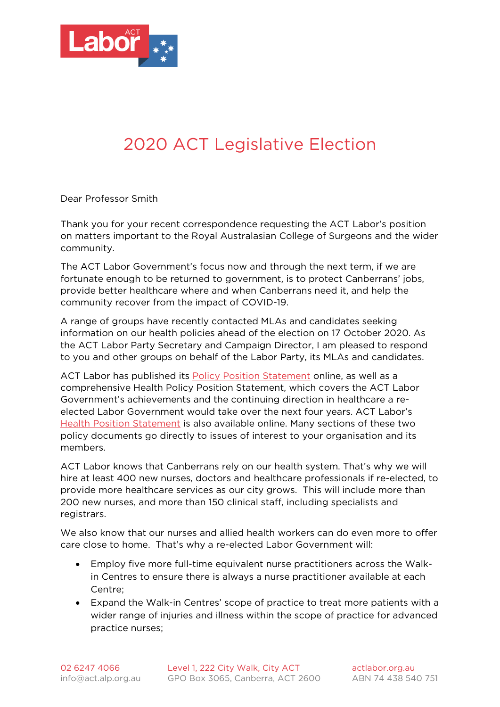

## 2020 ACT Legislative Election

Dear Professor Smith

Thank you for your recent correspondence requesting the ACT Labor's position on matters important to the Royal Australasian College of Surgeons and the wider community.

The ACT Labor Government's focus now and through the next term, if we are fortunate enough to be returned to government, is to protect Canberrans' jobs, provide better healthcare where and when Canberrans need it, and help the community recover from the impact of COVID-19.

A range of groups have recently contacted MLAs and candidates seeking information on our health policies ahead of the election on 17 October 2020. As the ACT Labor Party Secretary and Campaign Director, I am pleased to respond to you and other groups on behalf of the Labor Party, its MLAs and candidates.

ACT Labor has published its [Policy Position Statement](https://www.actlabor.org.au/media/43449/act-labor-policy-position-document-updated-220920.pdf) online, as well as a comprehensive Health Policy Position Statement, which covers the ACT Labor Government's achievements and the continuing direction in healthcare a reelected Labor Government would take over the next four years. ACT Labor's [Health Position Statement](https://www.actlabor.org.au/media/43445/health-policy-position-statement.pdf) is also available online. Many sections of these two policy documents go directly to issues of interest to your organisation and its members.

ACT Labor knows that Canberrans rely on our health system. That's why we will hire at least 400 new nurses, doctors and healthcare professionals if re-elected, to provide more healthcare services as our city grows. This will include more than 200 new nurses, and more than 150 clinical staff, including specialists and registrars.

We also know that our nurses and allied health workers can do even more to offer care close to home. That's why a re-elected Labor Government will:

- Employ five more full-time equivalent nurse practitioners across the Walkin Centres to ensure there is always a nurse practitioner available at each Centre;
- Expand the Walk-in Centres' scope of practice to treat more patients with a wider range of injuries and illness within the scope of practice for advanced practice nurses;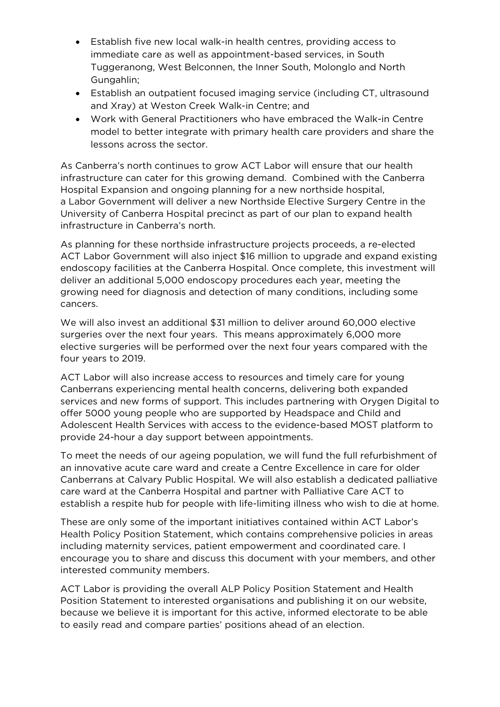- Establish five new local walk-in health centres, providing access to immediate care as well as appointment-based services, in South Tuggeranong, West Belconnen, the Inner South, Molonglo and North Gungahlin;
- Establish an outpatient focused imaging service (including CT, ultrasound and Xray) at Weston Creek Walk-in Centre; and
- Work with General Practitioners who have embraced the Walk-in Centre model to better integrate with primary health care providers and share the lessons across the sector.

As Canberra's north continues to grow ACT Labor will ensure that our health infrastructure can cater for this growing demand. Combined with the Canberra Hospital Expansion and ongoing planning for a new northside hospital, a Labor Government will deliver a new Northside Elective Surgery Centre in the University of Canberra Hospital precinct as part of our plan to expand health infrastructure in Canberra's north.

As planning for these northside infrastructure projects proceeds, a re-elected ACT Labor Government will also inject \$16 million to upgrade and expand existing endoscopy facilities at the Canberra Hospital. Once complete, this investment will deliver an additional 5,000 endoscopy procedures each year, meeting the growing need for diagnosis and detection of many conditions, including some cancers.

We will also invest an additional \$31 million to deliver around 60,000 elective surgeries over the next four years. This means approximately 6,000 more elective surgeries will be performed over the next four years compared with the four years to 2019.

ACT Labor will also increase access to resources and timely care for young Canberrans experiencing mental health concerns, delivering both expanded services and new forms of support. This includes partnering with Orygen Digital to offer 5000 young people who are supported by Headspace and Child and Adolescent Health Services with access to the evidence-based MOST platform to provide 24-hour a day support between appointments.

To meet the needs of our ageing population, we will fund the full refurbishment of an innovative acute care ward and create a Centre Excellence in care for older Canberrans at Calvary Public Hospital. We will also establish a dedicated palliative care ward at the Canberra Hospital and partner with Palliative Care ACT to establish a respite hub for people with life-limiting illness who wish to die at home.

These are only some of the important initiatives contained within ACT Labor's Health Policy Position Statement, which contains comprehensive policies in areas including maternity services, patient empowerment and coordinated care. I encourage you to share and discuss this document with your members, and other interested community members.

ACT Labor is providing the overall ALP Policy Position Statement and Health Position Statement to interested organisations and publishing it on our website, because we believe it is important for this active, informed electorate to be able to easily read and compare parties' positions ahead of an election.